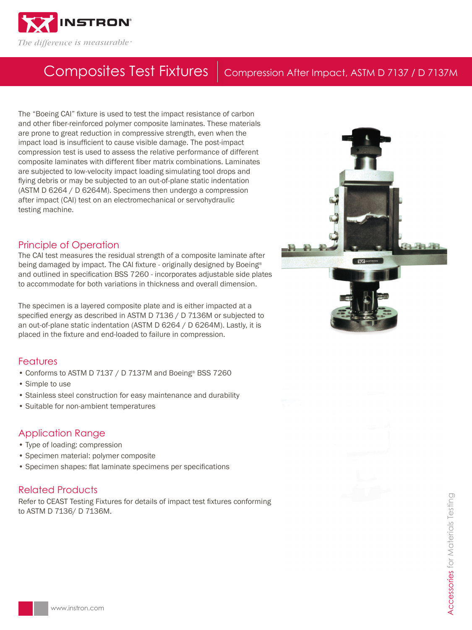

# Composites Test Fixtures | Compression After Impact, ASTM D 7137 / D 7137M

The "Boeing CAI" fixture is used to test the impact resistance of carbon and other fiber-reinforced polymer composite laminates. These materials are prone to great reduction in compressive strength, even when the impact load is insufficient to cause visible damage. The post-impact compression test is used to assess the relative performance of different composite laminates with different fiber matrix combinations. Laminates are subjected to low-velocity impact loading simulating tool drops and flying debris or may be subjected to an out-of-plane static indentation (ASTM D 6264 / D 6264M). Specimens then undergo a compression after impact (CAI) test on an electromechanical or servohydraulic testing machine.

### Principle of Operation

The CAI test measures the residual strength of a composite laminate after being damaged by impact. The CAI fixture - originally designed by Boeing® and outlined in specification BSS 7260 - incorporates adjustable side plates to accommodate for both variations in thickness and overall dimension.

The specimen is a layered composite plate and is either impacted at a specified energy as described in ASTM D 7136 / D 7136M or subjected to an out-of-plane static indentation (ASTM D 6264 / D 6264M). Lastly, it is placed in the fixture and end-loaded to failure in compression.

# Features

- Conforms to ASTM D 7137 / D 7137M and Boeing® BSS 7260
- Simple to use
- Stainless steel construction for easy maintenance and durability
- Suitable for non-ambient temperatures

## Application Range

- Type of loading: compression
- Specimen material: polymer composite
- Specimen shapes: flat laminate specimens per specifications

## Related Products

Refer to CEAST Testing Fixtures for details of impact test fixtures conforming to ASTM D 7136/ D 7136M.





**Accessories** for Materials Testing Accessories for Materials Testing